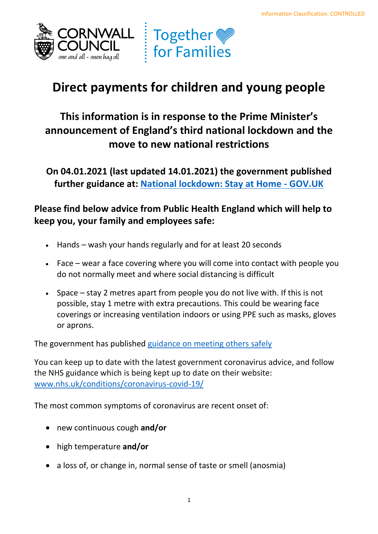



# **Direct payments for children and young people**

## **This information is in response to the Prime Minister's announcement of England's third national lockdown and the move to new national restrictions**

**On 04.01.2021 (last updated 14.01.2021) the government published further guidance at: [National lockdown: Stay at Home -](https://www.gov.uk/guidance/national-lockdown-stay-at-home) GOV.UK** 

### **Please find below advice from Public Health England which will help to keep you, your family and employees safe:**

- Hands wash your hands regularly and for at least 20 seconds
- • Face wear a face covering where you will come into contact with people you do not normally meet and where social distancing is difficult
- • Space stay 2 metres apart from people you do not live with. If this is not possible, stay 1 metre with extra precautions. This could be wearing face coverings or increasing ventilation indoors or using PPE such as masks, gloves or aprons.

The government has published [guidance on meeting others safely](https://www.gov.uk/government/publications/coronavirus-covid-19-meeting-with-others-safely-social-distancing/coronavirus-covid-19-meeting-with-others-safely-social-distancing) 

 You can keep up to date with the latest government coronavirus advice, and follow the NHS guidance which is being kept up to date on their website: [www.nhs.uk/conditions/coronavirus-covid-19/](http://www.nhs.uk/conditions/coronavirus-covid-19/) 

The most common symptoms of coronavirus are recent onset of:

- new continuous cough **and/or**
- high temperature **and/or**
- a loss of, or change in, normal sense of taste or smell (anosmia)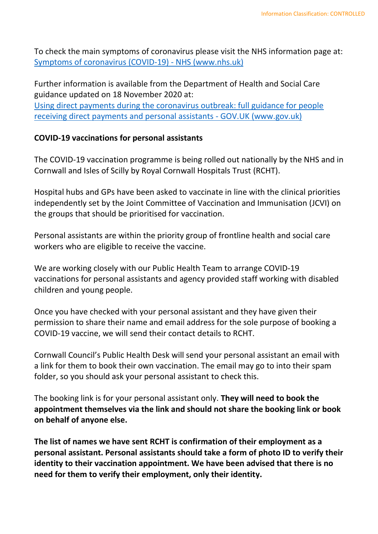To check the main symptoms of coronavirus please visit the NHS information page at: [Symptoms of coronavirus \(COVID-19\) -](https://www.nhs.uk/conditions/coronavirus-covid-19/symptoms/) NHS (www.nhs.uk)

 Further information is available from the Department of Health and Social Care guidance updated on 18 November 2020 at: [receiving direct payments and personal assistants -](https://www.gov.uk/government/publications/coronavirus-covid-19-guidance-for-people-receiving-direct-payments/coronavirus-covid-19-qa-for-people-receiving-a-personal-budget-or-personal-health-budget) GOV.UK (www.gov.uk) [Using direct payments during the coronavirus outbreak: full guidance for people](https://www.gov.uk/government/publications/coronavirus-covid-19-guidance-for-people-receiving-direct-payments/coronavirus-covid-19-qa-for-people-receiving-a-personal-budget-or-personal-health-budget) 

#### **COVID-19 vaccinations for personal assistants**

 The COVID-19 vaccination programme is being rolled out nationally by the NHS and in Cornwall and Isles of Scilly by Royal Cornwall Hospitals Trust (RCHT).

 Hospital hubs and GPs have been asked to vaccinate in line with the clinical priorities independently set by the Joint Committee of Vaccination and Immunisation (JCVI) on the groups that should be prioritised for vaccination.

 Personal assistants are within the priority group of frontline health and social care workers who are eligible to receive the vaccine.

 We are working closely with our Public Health Team to arrange COVID-19 vaccinations for personal assistants and agency provided staff working with disabled children and young people.

 permission to share their name and email address for the sole purpose of booking a COVID-19 vaccine, we will send their contact details to RCHT. Once you have checked with your personal assistant and they have given their

 Cornwall Council's Public Health Desk will send your personal assistant an email with a link for them to book their own vaccination. The email may go to into their spam folder, so you should ask your personal assistant to check this.

 **appointment themselves via the link and should not share the booking link or book**  The booking link is for your personal assistant only. **They will need to book the on behalf of anyone else.** 

 **The list of names we have sent RCHT is confirmation of their employment as a personal assistant. Personal assistants should take a form of photo ID to verify their identity to their vaccination appointment. We have been advised that there is no need for them to verify their employment, only their identity.**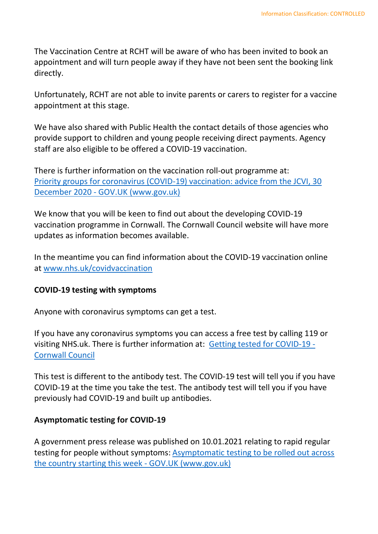The Vaccination Centre at RCHT will be aware of who has been invited to book an appointment and will turn people away if they have not been sent the booking link directly.

Unfortunately, RCHT are not able to invite parents or carers to register for a vaccine appointment at this stage.

 We have also shared with Public Health the contact details of those agencies who provide support to children and young people receiving direct payments. Agency staff are also eligible to be offered a COVID-19 vaccination.

 [Priority groups for coronavirus \(COVID-19\) vaccination: advice from the JCVI, 30](https://www.gov.uk/government/publications/priority-groups-for-coronavirus-covid-19-vaccination-advice-from-the-jcvi-30-december-2020)  There is further information on the vaccination roll-out programme at: December 2020 - [GOV.UK \(www.gov.uk\)](https://www.gov.uk/government/publications/priority-groups-for-coronavirus-covid-19-vaccination-advice-from-the-jcvi-30-december-2020) 

We know that you will be keen to find out about the developing COVID-19 vaccination programme in Cornwall. The Cornwall Council website will have more updates as information becomes available.

 In the meantime you can find information about the COVID-19 vaccination online at [www.nhs.uk/covidvaccination](https://eur03.safelinks.protection.outlook.com/?url=http%3A%2F%2Fwww.nhs.uk%2Fcovidvaccination&data=04%7C01%7CNatasha.Howard%40cornwall.gov.uk%7Cdb9e6b44fdfd4195b07f08d8b649bb28%7Cefaa16aad1de4d58ba2e2833fdfdd29f%7C0%7C0%7C637459775076751915%7CUnknown%7CTWFpbGZsb3d8eyJWIjoiMC4wLjAwMDAiLCJQIjoiV2luMzIiLCJBTiI6Ik1haWwiLCJXVCI6Mn0%3D%7C2000&sdata=2xcv7INI8mpVgZSVIQNLSI%2Bv54sf%2Bc60602udZDwpUo%3D&reserved=0) 

#### **COVID-19 testing with symptoms**

Anyone with coronavirus symptoms can get a test.

visiting NHS.uk. There is further information at: **[Getting tested for COVID-19 -](https://www.cornwall.gov.uk/health-and-social-care/public-health-cornwall/information-about-coronavirus-covid-19/your-health-symptoms-and-staying-safe/getting-tested-for-covid-19/)** If you have any coronavirus symptoms you can access a free test by calling 119 or [Cornwall Council](https://www.cornwall.gov.uk/health-and-social-care/public-health-cornwall/information-about-coronavirus-covid-19/your-health-symptoms-and-staying-safe/getting-tested-for-covid-19/) 

 This test is different to the antibody test. The COVID-19 test will tell you if you have COVID-19 at the time you take the test. The antibody test will tell you if you have previously had COVID-19 and built up antibodies.

#### **Asymptomatic testing for COVID-19**

 A government press release was published on 10.01.2021 relating to rapid regular testing for people without symptoms: **Asymptomatic testing to be rolled out across** [the country starting this week -](https://www.gov.uk/government/news/asymptomatic-testing-to-be-rolled-out-across-the-country-starting-this-week) GOV.UK (www.gov.uk)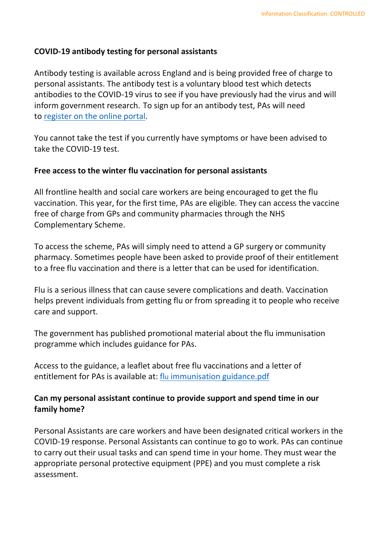#### **COVID-19 antibody testing for personal assistants**

 Antibody testing is available across England and is being provided free of charge to antibodies to the COVID-19 virus to see if you have previously had the virus and will inform government research. To sign up for an antibody test, PAs will need personal assistants. The antibody test is a voluntary blood test which detects to [register on the online portal.](https://www.gov.uk/get-coronavirus-antibody-test)

 You cannot take the test if you currently have symptoms or have been advised to take the COVID-19 test.

#### **Free access to the winter flu vaccination for personal assistants**

 All frontline health and social care workers are being encouraged to get the flu vaccination. This year, for the first time, PAs are eligible. They can access the vaccine free of charge from GPs and community pharmacies through the NHS Complementary Scheme.

 To access the scheme, PAs will simply need to attend a GP surgery or community to a free flu vaccination and there is a letter that can be used for identification. pharmacy. Sometimes people have been asked to provide proof of their entitlement

 Flu is a serious illness that can cause severe complications and death. Vaccination helps prevent individuals from getting flu or from spreading it to people who receive care and support.

 programme which includes guidance for PAs. The government has published promotional material about the flu immunisation

 Access to the guidance, a leaflet about free flu vaccinations and a letter of entitlement for PAs is available at: *flu immunisation guidance.pdf* 

#### **Can my personal assistant continue to provide support and spend time in our family home?**

 Personal Assistants are care workers and have been designated critical workers in the COVID-19 response. Personal Assistants can continue to go to work. PAs can continue to carry out their usual tasks and can spend time in your home. They must wear the appropriate personal protective equipment (PPE) and you must complete a risk assessment.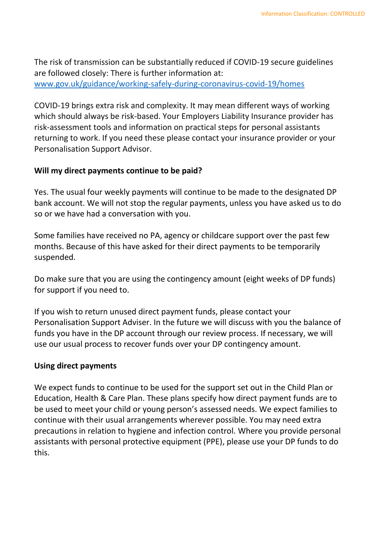The risk of transmission can be substantially reduced if COVID-19 secure guidelines are followed closely: There is further information at: [www.gov.uk/guidance/working-safely-during-coronavirus-covid-19/homes](http://www.gov.uk/guidance/working-safely-during-coronavirus-covid-19/homes) 

 COVID-19 brings extra risk and complexity. It may mean different ways of working which should always be risk-based. Your Employers Liability Insurance provider has risk-assessment tools and information on practical steps for personal assistants returning to work. If you need these please contact your insurance provider or your Personalisation Support Advisor.

#### **Will my direct payments continue to be paid?**

 Yes. The usual four weekly payments will continue to be made to the designated DP bank account. We will not stop the regular payments, unless you have asked us to do so or we have had a conversation with you.

 months. Because of this have asked for their direct payments to be temporarily Some families have received no PA, agency or childcare support over the past few suspended.

 Do make sure that you are using the contingency amount (eight weeks of DP funds) for support if you need to.

 If you wish to return unused direct payment funds, please contact your Personalisation Support Adviser. In the future we will discuss with you the balance of funds you have in the DP account through our review process. If necessary, we will use our usual process to recover funds over your DP contingency amount.

#### **Using direct payments**

 We expect funds to continue to be used for the support set out in the Child Plan or be used to meet your child or young person's assessed needs. We expect families to continue with their usual arrangements wherever possible. You may need extra precautions in relation to hygiene and infection control. Where you provide personal Education, Health & Care Plan. These plans specify how direct payment funds are to assistants with personal protective equipment (PPE), please use your DP funds to do this.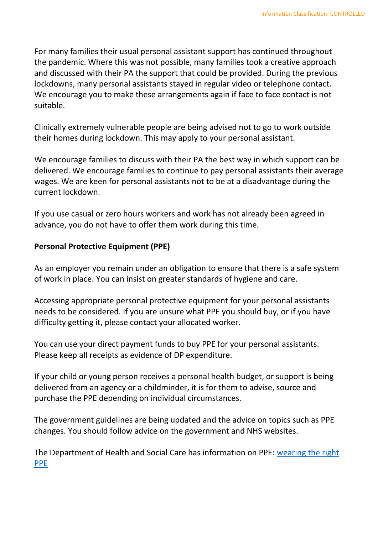and discussed with their PA the support that could be provided. During the previous lockdowns, many personal assistants stayed in regular video or telephone contact. We encourage you to make these arrangements again if face to face contact is not For many families their usual personal assistant support has continued throughout the pandemic. Where this was not possible, many families took a creative approach suitable.

Clinically extremely vulnerable people are being advised not to go to work outside their homes during lockdown. This may apply to your personal assistant.

 We encourage families to discuss with their PA the best way in which support can be delivered. We encourage families to continue to pay personal assistants their average wages. We are keen for personal assistants not to be at a disadvantage during the current lockdown.

 If you use casual or zero hours workers and work has not already been agreed in advance, you do not have to offer them work during this time.

#### **Personal Protective Equipment (PPE)**

 As an employer you remain under an obligation to ensure that there is a safe system of work in place. You can insist on greater standards of hygiene and care.

 needs to be considered. If you are unsure what PPE you should buy, or if you have Accessing appropriate personal protective equipment for your personal assistants difficulty getting it, please contact your allocated worker.

 You can use your direct payment funds to buy PPE for your personal assistants. Please keep all receipts as evidence of DP expenditure.

 If your child or young person receives a personal health budget, or support is being delivered from an agency or a childminder, it is for them to advise, source and purchase the PPE depending on individual circumstances.

 The government guidelines are being updated and the advice on topics such as PPE changes. You should follow advice on the government and NHS websites.

The Department of Health and Social Care has information on PPE: wearing the right [PPE](http://www.gov.uk/government/publications/coronavirus-covid-19-guidance-for-people-receiving-direct-payments/coronavirus-covid-19-qa-for-people-receiving-a-personal-budget-or-personal-health-budget#wearing-right-ppe)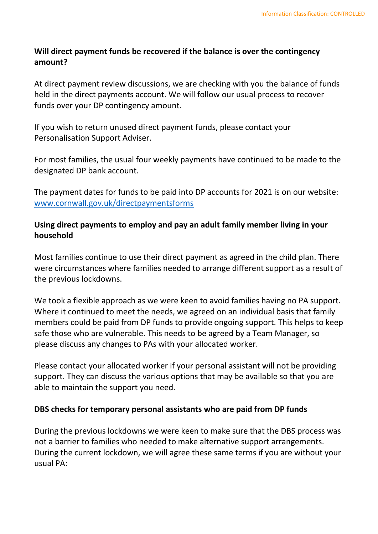#### **Will direct payment funds be recovered if the balance is over the contingency amount?**

 At direct payment review discussions, we are checking with you the balance of funds held in the direct payments account. We will follow our usual process to recover funds over your DP contingency amount.

 If you wish to return unused direct payment funds, please contact your Personalisation Support Adviser.

 designated DP bank account. For most families, the usual four weekly payments have continued to be made to the

 The payment dates for funds to be paid into DP accounts for 2021 is on our website: [www.cornwall.gov.uk/directpaymentsforms](http://www.cornwall.gov.uk/directpaymentsforms) 

#### **Using direct payments to employ and pay an adult family member living in your household**

 Most families continue to use their direct payment as agreed in the child plan. There were circumstances where families needed to arrange different support as a result of the previous lockdowns.

 Where it continued to meet the needs, we agreed on an individual basis that family members could be paid from DP funds to provide ongoing support. This helps to keep please discuss any changes to PAs with your allocated worker. We took a flexible approach as we were keen to avoid families having no PA support. safe those who are vulnerable. This needs to be agreed by a Team Manager, so

 support. They can discuss the various options that may be available so that you are able to maintain the support you need. Please contact your allocated worker if your personal assistant will not be providing

#### **DBS checks for temporary personal assistants who are paid from DP funds**

 During the current lockdown, we will agree these same terms if you are without your During the previous lockdowns we were keen to make sure that the DBS process was not a barrier to families who needed to make alternative support arrangements. usual PA: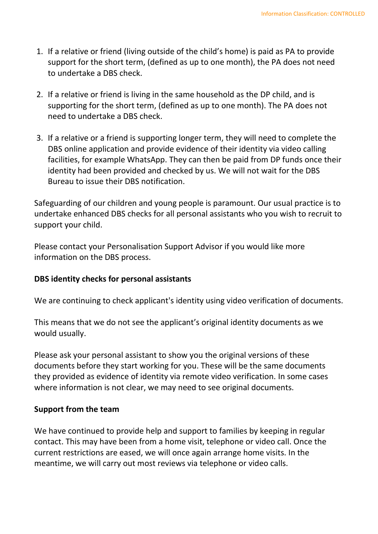- 1. If a relative or friend (living outside of the child's home) is paid as PA to provide support for the short term, (defined as up to one month), the PA does not need to undertake a DBS check.
- 2. If a relative or friend is living in the same household as the DP child, and is supporting for the short term, (defined as up to one month). The PA does not need to undertake a DBS check.
- DBS online application and provide evidence of their identity via video calling facilities, for example WhatsApp. They can then be paid from DP funds once their identity had been provided and checked by us. We will not wait for the DBS 3. If a relative or a friend is supporting longer term, they will need to complete the Bureau to issue their DBS notification.

 Safeguarding of our children and young people is paramount. Our usual practice is to undertake enhanced DBS checks for all personal assistants who you wish to recruit to support your child.

 Please contact your Personalisation Support Advisor if you would like more information on the DBS process.

#### **DBS identity checks for personal assistants**

We are continuing to check applicant's identity using video verification of documents.

 would usually. This means that we do not see the applicant's original identity documents as we

 documents before they start working for you. These will be the same documents Please ask your personal assistant to show you the original versions of these they provided as evidence of identity via remote video verification. In some cases where information is not clear, we may need to see original documents.

#### **Support from the team**

 We have continued to provide help and support to families by keeping in regular contact. This may have been from a home visit, telephone or video call. Once the current restrictions are eased, we will once again arrange home visits. In the meantime, we will carry out most reviews via telephone or video calls.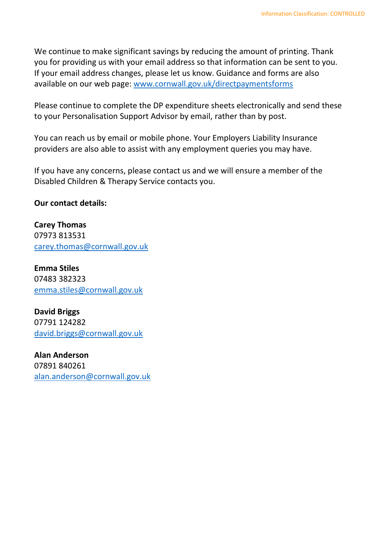We continue to make significant savings by reducing the amount of printing. Thank you for providing us with your email address so that information can be sent to you. If your email address changes, please let us know. Guidance and forms are also available on our web page: www.cornwall.gov.uk/directpaymentsforms

 to your Personalisation Support Advisor by email, rather than by post. Please continue to complete the DP expenditure sheets electronically and send these

 You can reach us by email or mobile phone. Your Employers Liability Insurance providers are also able to assist with any employment queries you may have.

 Disabled Children & Therapy Service contacts you. If you have any concerns, please contact us and we will ensure a member of the

#### **Our contact details:**

**Carey Thomas**  07973 813531 [carey.thomas@cornwall.gov.uk](mailto:carey.thomas@cornwall.gov.uk) 

**Emma Stiles**  07483 382323 [emma.stiles@cornwall.gov.uk](mailto:emma.stiles@cornwall.gov.uk) 

**David Briggs**  07791 124282 [david.briggs@cornwall.gov.uk](mailto:david.briggs@cornwall.gov.uk) 

**Alan Anderson**  07891 840261 [alan.anderson@cornwall.gov.uk](mailto:alan.anderson@cornwall.gov.uk)